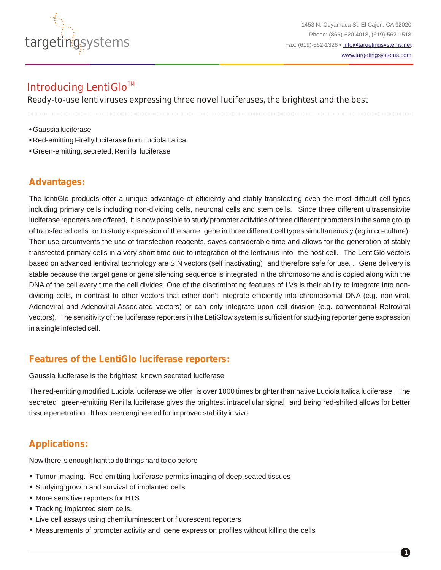

1453 N. Cuyamaca St, El Cajon, CA 92020 Phone: (866)-620 4018, (619)-562-1518 Fax: (619)-562-1326 • [info@targetingsystems.net](mailto:info@targetingsystems.net) [www.targetingsystems.com](http://targetingsystems.net/)

**1**

## Introducing LentiGlo<sup>™</sup>

Ready-to-use lentiviruses expressing three novel luciferases, the brightest and the best

- Gaussia luciferase
- Red-emitting Firefly luciferase from Luciola Italica
- Green-emitting, secreted, Renilla luciferase

### **Advantages:**

The lentiGlo products offer a unique advantage of efficiently and stably transfecting even the most difficult cell types including primary cells including non-dividing cells, neuronal cells and stem cells. Since three different ultrasensitvite luciferase reporters are offered, it is now possible to study promoter activities of three different promoters in the same group of transfected cells or to study expression of the same gene in three different cell types simultaneously (eg in co-culture). Their use circumvents the use of transfection reagents, saves considerable time and allows for the generation of stably transfected primary cells in a very short time due to integration of the lentivirus into the host cell. The LentiGlo vectors based on advanced lentiviral technology are SIN vectors (self inactivating) and therefore safe for use. . Gene delivery is stable because the target gene or gene silencing sequence is integrated in the chromosome and is copied along with the DNA of the cell every time the cell divides. One of the discriminating features of LVs is their ability to integrate into nondividing cells, in contrast to other vectors that either don't integrate efficiently into chromosomal DNA (e.g. non-viral, Adenoviral and Adenoviral-Associated vectors) or can only integrate upon cell division (e.g. conventional Retroviral vectors). The sensitivity of the luciferase reporters in the LetiGlow system is sufficient for studying reporter gene expression in a single infected cell.

### **Features of the LentiGlo luciferase reporters:**

Gaussia luciferase is the brightest, known secreted luciferase

The red-emitting modified Luciola luciferase we offer is over 1000 times brighter than native Luciola Italica luciferase. The secreted green-emitting Renilla luciferase gives the brightest intracellular signal and being red-shifted allows for better tissue penetration. It has been engineered for improved stability in vivo.

## **Applications:**

Now there is enough light to do things hard to do before

- **•** Tumor Imaging. Red-emitting luciferase permits imaging of deep-seated tissues
- **•** Studying growth and survival of implanted cells
- **•** More sensitive reporters for HTS
- **•** Tracking implanted stem cells.
- **•** Live cell assays using chemiluminescent or fluorescent reporters
- **•** Measurements of promoter activity and gene expression profiles without killing the cells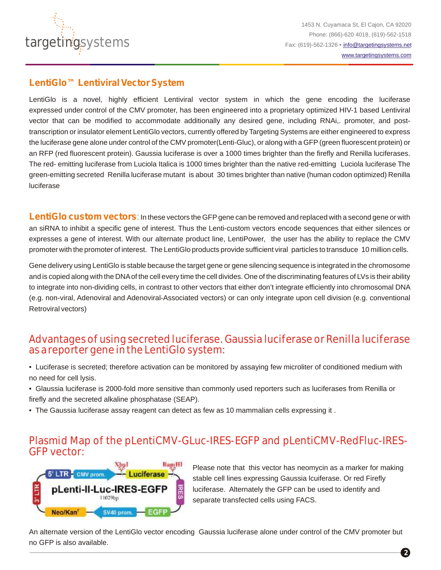

### **LentiGlo™ Lentiviral Vector System**

LentiGlo is a novel, highly efficient Lentiviral vector system in which the gene encoding the luciferase expressed under control of the CMV promoter, has been engineered into a proprietary optimized HIV-1 based Lentiviral vector that can be modified to accommodate additionally any desired gene, including RNAi,. promoter, and posttranscription or insulator element LentiGlo vectors, currently offered by Targeting Systems are either engineered to express the luciferase gene alone under control of the CMV promoter(Lenti-Gluc), or along with a GFP(green fluorescent protein) or an RFP (red fluorescent protein). Gaussia luciferase is over a 1000 times brighter than the firefly and Renilla luciferases. The red- emitting luciferase from Luciola Italica is 1000 times brighter than the native red-emitting Luciola luciferase The green-emitting secreted Renilla luciferase mutant is about 30 times brighter than native (human codon optimized) Renilla luciferase

LentiGlo custom vectors: In these vectors the GFP gene can be removed and replaced with a second gene or with an siRNA to inhibit a specific gene of interest. Thus the Lenti-custom vectors encode sequences that either silences or expresses a gene of interest. With our alternate product line, LentiPower, the user has the ability to replace the CMV promoter with the promoter of interest. The LentiGlo products provide sufficient viral particles to transduce 10 million cells.

Gene delivery using LentiGlo is stable because the target gene or gene silencing sequence is integrated in the chromosome and is copied along with the DNAof the cell every time the cell divides. One of the discriminating features of LVs is their ability to integrate into non-dividing cells, in contrast to other vectors that either don't integrate efficiently into chromosomal DNA (e.g. non-viral, Adenoviral and Adenoviral-Associated vectors) or can only integrate upon cell division (e.g. conventional Retroviral vectors)

# Advantages of using secreted luciferase. Gaussia luciferase or Renilla luciferase as a reporter gene in the LentiGlo system:

- Luciferase is secreted; therefore activation can be monitored by assaying few microliter of conditioned medium with no need for cell lysis.
- Glaussia luciferase is 2000-fold more sensitive than commonly used reporters such as luciferases from Renilla or firefly and the secreted alkaline phosphatase (SEAP).
- The Gaussia luciferase assay reagent can detect as few as 10 mammalian cells expressing it .

## Plasmid Map of the pLentiCMV-GLuc-IRES-EGFP and pLentiCMV-RedFluc-IRES-GFP vector:



Please note that this vector has neomycin as a marker for making stable cell lines expressing Gaussia lcuiferase. Or red Firefly luciferase. Alternately the GFP can be used to identify and separate transfected cells using FACS.

An alternate version of the LentiGlo vector encoding Gaussia luciferase alone under control of the CMV promoter but no GFP is also available.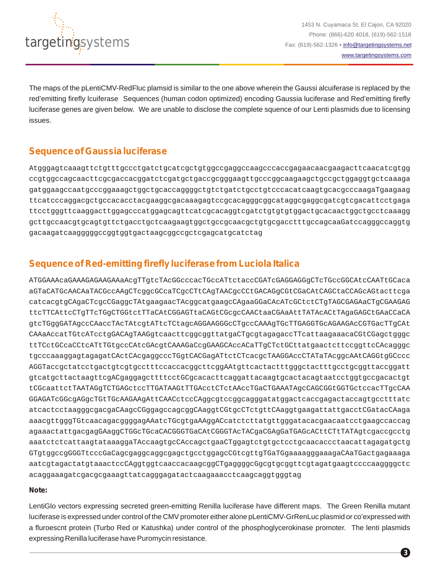

The maps of the pLentiCMV-RedFluc plamsid is similar to the one above wherein the Gaussi alcuiferase is replaced by the red'emitting firefly lcuiferase Sequences (human codon optimized) encoding Gaussia luciferase and Red'emitting firefly luciferase genes are given below. We are unable to disclose the complete squence of our Lenti plasmids due to licensing issues.

## **Sequence of Gaussia luciferase**

Atgggagtcaaagttctgtttgccctgatctgcatcgctgtggccgaggccaagcccaccgagaacaacgaagacttcaacatcgtgg ccgtggccagcaacttcgcgaccacggatctcgatgctgaccgcgggaagttgcccggcaagaagctgccgctggaggtgctcaaaga gatggaagccaatgcccggaaagctggctgcaccaggggctgtctgatctgcctgtcccacatcaagtgcacgcccaagaTgaagaag ttcatcccaggacgctgccacacctacgaaggcgacaaagagtccgcacagggcggcataggcgaggcgatcgtcgacattcctgaga ttcctgggttcaaggacttggagcccatggagcagttcatcgcacaggtcgatctgtgtgtggactgcacaactggctgcctcaaagg gcttgccaacgtgcagtgttctgacctgctcaagaagtggctgccgcaacgctgtgcgacctttgccagcaaGatccagggccaggtg gacaagatcaagggggccggtggtgactaagcggccgctcgagcatgcatctag

## **Sequence of Red-emitting firefly luciferase from Luciola Italica**

ATGGAAAcaGAAAGAGAAGAAaAcgTTgtcTAcGGcccacTGccATtctaccCGATcGAGGAGGgCTcTGccGGCAtcCAATtGCaca aGTaCATGcAACAaTACGccAAgCTcggcGCcaTCgcCTtCAgTAACgcCCtGACAGgCGtCGaCAtCAGCtaCCAGcAGtacttcga catcacgtgCAgaCTcgcCGaggcTAtgaagaacTAcggcatgaagcCAgaaGGaCAcATcGCtctCTgTAGCGAGAaCTgCGAAGAG ttcTTCAttcCTgTTcTGgCTGGtctTTaCAtCGGAGTtaCAGtCGcgcCAACtaaCGAaAttTATAcACtTAgaGAGCtGAaCCaCA gtcTGggGATAgccCAaccTAcTAtcgtATtcTCtagcAGGAAGGGcCTgccCAAAgTGcTTGAGGTGcAGAAGAcCGTGacTTgCAt CAAaAccatTGtcATcctgGACAgTAAGgtcaacttcggcggttatgaCTgcgtagagaccTTcattaagaaacaCGtCGagctgggc ttTCctGCcaCCtcATtTGtgccCAtcGAcgtCAAAGaCcgGAAGCAccACaTTgCTctGCttatgaactcttccggttcCAcagggc tgcccaaaggagtagagatCActCAcgaggcccTGgtCACGagATtctCTcacgcTAAGGAccCTATaTAcggcAAtCAGGtgGCccc AGGTaccgctatcctgactgtcgtgcctttccaccacggcttcggAAtgttcactactttgggctactttgcctgcggttaccggatt gtcatgcttactaagttcgACgaggagcttttcctGCgcacacttcaggattacaagtgcactacagtaatcctggtgccgacactgt tCGcaattctTAATAGgTCTGAGctccTTGATAAGtTTGAcctCTctAAccTGaCTGAAATAgcCAGCGGtGGTGctccacTTgcCAA GGAGATcGGcgAGgcTGtTGcAAGAAgAttCAACctccCAggcgtccggcagggatatggactcaccgagactaccagtgcctttatc atcactcctaagggcgacgaCAagcCGggagccagcggCAaggtCGtgcCTctgttCAaggtgaagattattgacctCGatacCAaga aaacgttgggTGtcaacagacggggagAAatcTGcgtgaAAggACcatctcttatgttgggatacacgaacaatcctgaagccaccag agaaactattgacgagGAaggCTGGcTGcaCACGGGTGaCAtCGGGTAcTACgaCGAgGaTGAGcACttCTtTATAgtcgaccgcctg aaatctctcattaagtataaaggaTAccaagtgcCAccagctgaaCTggagtctgtgctcctgcaacaccctaacattagagatgctg GTgtggccgGGGTtcccGaCagcgaggcaggcgagctgcctggagcCGtcgttgTGaTGgaaaagggaaagaCAaTGactgagaaaga aatcgtagactatgtaaactccCAggtggtcaaccacaagcggCTgaggggcGgcgtgcggttcgtagatgaagtccccaaggggctc acaggaaagatcgacgcgaaagttatcagggagatactcaagaaacctcaagcaggtgggtag

### **Note:**

LentiGlo vectors expressing secreted green-emitting Renilla luciferase have different maps. The Green Renilla mutant luciferase is expressed under control of the CMV promoter either alone pLentiCMV-GrRenLuc plasmid or co'expressed with a fluroescnt protein (Turbo Red or Katushka) under control of the phosphoglycerokinase promoter. The lenti plasmids expressing Renilla luciferase have Puromycin resistance.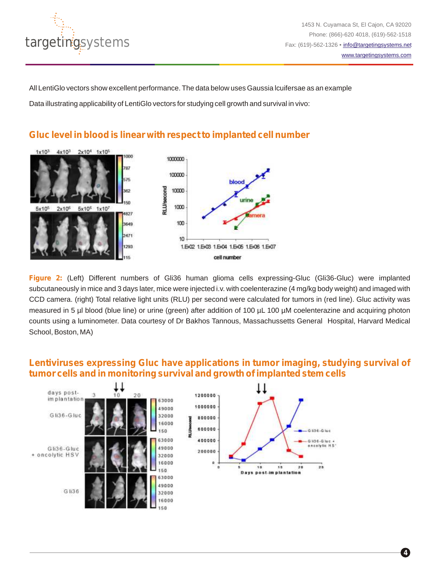

All LentiGlo vectors show excellent performance. The data below uses Gaussia lcuifersae as an example

Data illustrating applicability of LentiGlo vectors for studying cell growth and survival in vivo:



**Gluc level in blood is linear with respect to implanted cell number**

Figure 2: (Left) Different numbers of Gli36 human glioma cells expressing-Gluc (Gli36-Gluc) were implanted subcutaneously in mice and 3 days later, mice were injected i.v. with coelenterazine (4 mg/kg body weight) and imaged with CCD camera. (right) Total relative light units (RLU) per second were calculated for tumors in (red line). Gluc activity was measured in 5 µl blood (blue line) or urine (green) after addition of 100 µL 100 µM coelenterazine and acquiring photon counts using a luminometer. Data courtesy of Dr Bakhos Tannous, Massachussetts General Hospital, Harvard Medical School, Boston, MA)

## **Lentiviruses expressing Gluc have applications in tumor imaging, studying survival of tumor cells and in monitoring survival and growth of implanted stem cells**

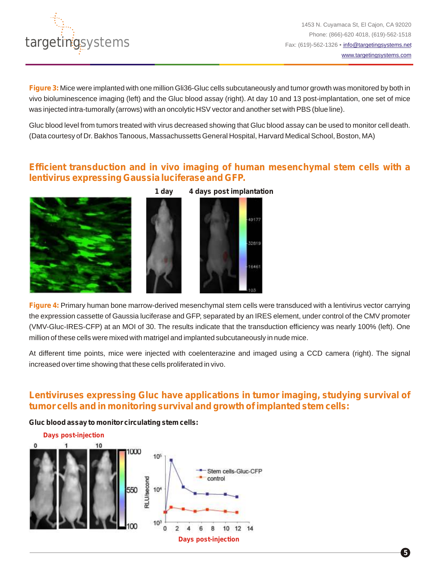

1453 N. Cuyamaca St, El Cajon, CA 92020 Phone: (866)-620 4018, (619)-562-1518 Fax: (619)-562-1326 • [info@targetingsystems.net](mailto:info@targetingsystems.net) [www.targetingsystems.com](http://targetingsystems.net/)

**Figure 3:** Mice were implanted with one million Gli36-Gluc cells subcutaneously and tumor growth was monitored by both in vivo bioluminescence imaging (left) and the Gluc blood assay (right). At day 10 and 13 post-implantation, one set of mice was injected intra-tumorally (arrows) with an oncolytic HSV vector and another set with PBS (blue line).

Gluc blood level from tumors treated with virus decreased showing that Gluc blood assay can be used to monitor cell death. (Data courtesy of Dr. Bakhos Tanoous, Massachussetts General Hospital, Harvard Medical School, Boston, MA)

### **Efficient transduction and in vivo imaging of human mesenchymal stem cells with a lentivirus expressing Gaussia luciferase and GFP.**

49177

12815

6461





**Figure 4:** Primary human bone marrow-derived mesenchymal stem cells were transduced with a lentivirus vector carrying the expression cassette of Gaussia luciferase and GFP, separated by an IRES element, under control of the CMV promoter (VMV-Gluc-IRES-CFP) at an MOI of 30. The results indicate that the transduction efficiency was nearly 100% (left). One million of these cells were mixed with matrigel and implanted subcutaneously in nude mice.

At different time points, mice were injected with coelenterazine and imaged using a CCD camera (right). The signal increased over time showing that these cells proliferated in vivo.

## **Lentiviruses expressing Gluc have applications in tumor imaging, studying survival of tumor cells and in monitoring survival and growth of implanted stem cells:**

### **Gluc blood assay to monitor circulating stem cells:**

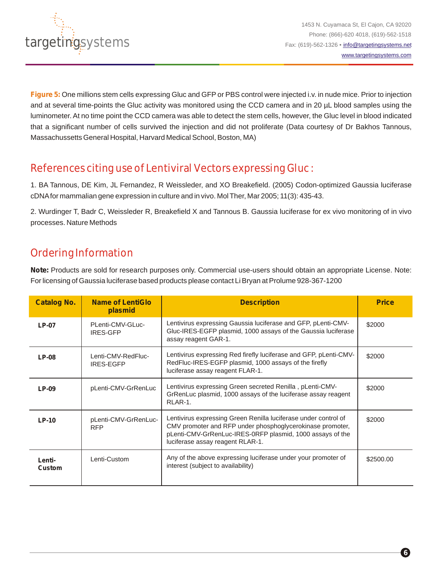

**Figure 5:** One millions stem cells expressing Gluc and GFP or PBS control were injected i.v. in nude mice. Prior to injection and at several time-points the Gluc activity was monitored using the CCD camera and in 20 µL blood samples using the luminometer. At no time point the CCD camera was able to detect the stem cells, however, the Gluc level in blood indicated that a significant number of cells survived the injection and did not proliferate (Data courtesy of Dr Bakhos Tannous, Massachussetts General Hospital, Harvard Medical School, Boston, MA)

# References citing use of Lentiviral Vectors expressing Gluc :

1. BA Tannous, DE Kim, JL Fernandez, R Weissleder, and XO Breakefield. (2005) Codon-optimized Gaussia luciferase cDNAfor mammalian gene expression in culture and in vivo. Mol Ther, Mar 2005; 11(3): 435-43.

2. Wurdinger T, Badr C, Weissleder R, Breakefield X and Tannous B. Gaussia luciferase for ex vivo monitoring of in vivo processes. Nature Methods

# Ordering Information

**Note:** Products are sold for research purposes only. Commercial use-users should obtain an appropriate License. Note: For licensing of Gaussia luciferase based products please contact Li Bryan at Prolume 928-367-1200

| <b>Catalog No.</b> | <b>Name of LentiGlo</b><br>plasmid     | <b>Description</b>                                                                                                                                                                                                            | <b>Price</b> |
|--------------------|----------------------------------------|-------------------------------------------------------------------------------------------------------------------------------------------------------------------------------------------------------------------------------|--------------|
| $LP-07$            | PLenti-CMV-GLuc-<br><b>IRES-GFP</b>    | Lentivirus expressing Gaussia luciferase and GFP, pLenti-CMV-<br>Gluc-IRES-EGFP plasmid, 1000 assays of the Gaussia luciferase<br>assay reagent GAR-1.                                                                        | \$2000       |
| $LP-08$            | Lenti-CMV-RedFluc-<br><b>IRES-EGFP</b> | Lentivirus expressing Red firefly luciferase and GFP, pLenti-CMV-<br>RedFluc-IRES-EGFP plasmid, 1000 assays of the firefly<br>luciferase assay reagent FLAR-1.                                                                | \$2000       |
| LP-09              | pLenti-CMV-GrRenLuc                    | Lentivirus expressing Green secreted Renilla, pLenti-CMV-<br>GrRenLuc plasmid, 1000 assays of the luciferase assay reagent<br>RLAR-1.                                                                                         | \$2000       |
| $LP-10$            | pLenti-CMV-GrRenLuc-<br><b>RFP</b>     | Lentivirus expressing Green Renilla luciferase under control of<br>CMV promoter and RFP under phosphoglycerokinase promoter,<br>pLenti-CMV-GrRenLuc-IRES-0RFP plasmid, 1000 assays of the<br>luciferase assay reagent RLAR-1. | \$2000       |
| Lenti-<br>Custom   | Lenti-Custom                           | Any of the above expressing luciferase under your promoter of<br>interest (subject to availability)                                                                                                                           | \$2500.00    |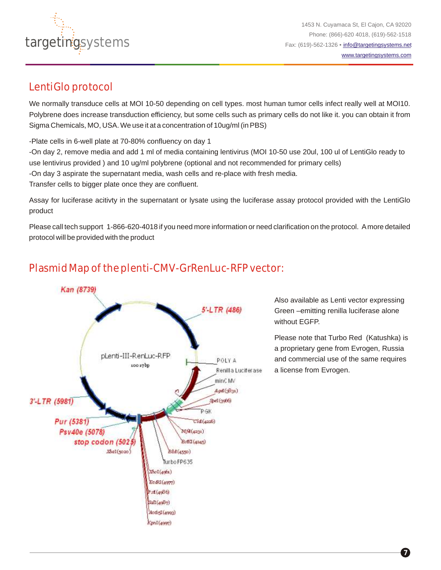

# LentiGlo protocol

We normally transduce cells at MOI 10-50 depending on cell types. most human tumor cells infect really well at MOI10. Polybrene does increase transduction efficiency, but some cells such as primary cells do not like it. you can obtain it from Sigma Chemicals, MO, USA. We use it at a concentration of 10ug/ml (in PBS)

-Plate cells in 6-well plate at 70-80% confluency on day 1

-On day 2, remove media and add 1 ml of media containing lentivirus (MOI 10-50 use 20ul, 100 ul of LentiGlo ready to use lentivirus provided ) and 10 ug/ml polybrene (optional and not recommended for primary cells) -On day 3 aspirate the supernatant media, wash cells and re-place with fresh media.

Transfer cells to bigger plate once they are confluent.

Assay for luciferase acitivty in the supernatant or lysate using the luciferase assay protocol provided with the LentiGlo product

Please call tech support 1-866-620-4018 if you need more information or need clarification on the protocol. Amore detailed protocol will be provided with the product

# Plasmid Map of the plenti-CMV-GrRenLuc-RFP vector:



Also available as Lenti vector expressing Green –emitting renilla luciferase alone without EGFP.

Please note that Turbo Red (Katushka) is a proprietary gene from Evrogen, Russia and commercial use of the same requires a license from Evrogen.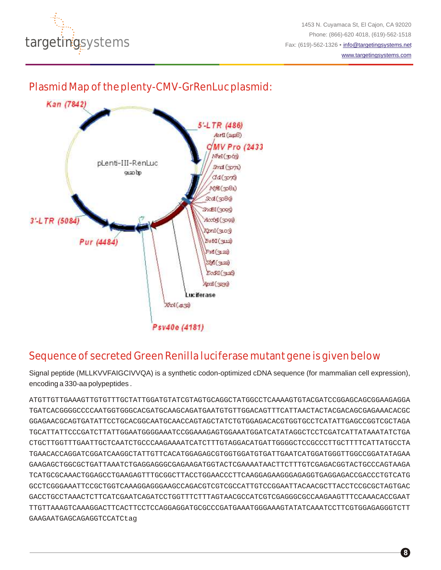

1453 N. Cuyamaca St, El Cajon, CA 92020 Phone: (866)-620 4018, (619)-562-1518 Fax: (619)-562-1326 • [info@targetingsystems.net](mailto:info@targetingsystems.net)

[www.targetingsystems.com](http://targetingsystems.net/)

# Plasmid Map of the plenty-CMV-GrRenLuc plasmid:



# Sequence of secreted Green Renilla luciferase mutant gene is given below

Signal peptide (MLLKVVFAIGCIVVQA) is a synthetic codon-optimized cDNA sequence (for mammalian cell expression), encoding a 330-aa polypeptides .

ATGTTGTTGAAAGTTGTGTTTGCTATTGGATGTATCGTAGTGCAGGCTATGGCCTCAAAAGTGTACGATCCGGAGCAGCGGAAGAGGA TGATCACGGGGCCCCAATGGTGGGCACGATGCAAGCAGATGAATGTGTTGGACAGTTTCATTAACTACTACGACAGCGAGAAACACGC GGAGAACGCAGTGATATTCCTGCACGGCAATGCAACCAGTAGCTATCTGTGGAGACACGTGGTGCCTCATATTGAGCCGGTCGCTAGA TGCATTATTCCCGATCTTATTGGAATGGGGAAATCCGGAAAGAGTGGAAATGGATCATATAGGCTCCTCGATCATTATAAATATCTGA CTGCTTGGTTTGAATTGCTCAATCTGCCCAAGAAAATCATCTTTGTAGGACATGATTGGGGCTCCGCCCTTGCTTTTCATTATGCCTA TGAACACCAGGATCGGATCAAGGCTATTGTTCACATGGAGAGCGTGGTGGATGTGATTGAATCATGGATGGGTTGGCCGGATATAGAA GAAGAGCTGGCGCTGATTAAATCTGAGGAGGGCGAGAAGATGGTACTCGAAAATAACTTCTTTGTCGAGACGGTACTGCCCAGTAAGA TCATGCGCAAACTGGAGCCTGAAGAGTTTGCGGCTTACCTGGAACCCTTCAAGGAGAAGGGAGAGGTGAGGAGACCGACCCTGTCATG GCCTCGGGAAATTCCGCTGGTCAAAGGAGGGAAGCCAGACGTCGTCGCCATTGTCCGGAATTACAACGCTTACCTCCGCGCTAGTGAC GACCTGCCTAAACTCTTCATCGAATCAGATCCTGGTTTCTTTAGTAACGCCATCGTCGAGGGCGCCAAGAAGTTTCCAAACACCGAAT TTGTTAAAGTCAAAGGACTTCACTTCCTCCAGGAGGATGCGCCCGATGAAATGGGAAAGTATATCAAATCCTTCGTGGAGAGGGTCTT GAAGAATGAGCAGAGGTCCATCtag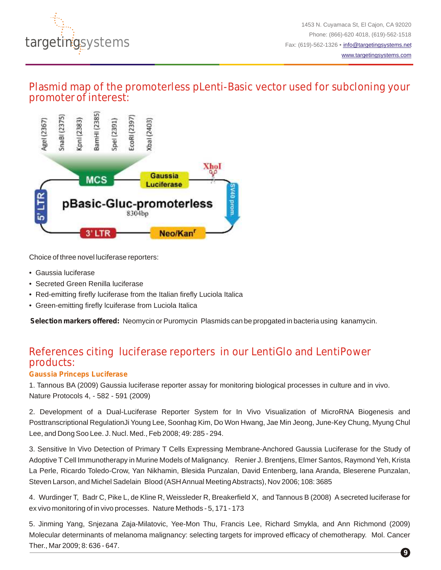

## Plasmid map of the promoterless pLenti-Basic vector used for subcloning your promoter of interest:



Choice of three novel luciferase reporters:

- Gaussia luciferase
- Secreted Green Renilla luciferase
- Red-emitting firefly luciferase from the Italian firefly Luciola Italica
- Green-emitting firefly lcuiferase from Luciola Italica

**Selection markers offered:** Neomycin or Puromycin Plasmids can be propgated in bacteria using kanamycin.

# References citing luciferase reporters in our LentiGlo and LentiPower products:

### **Gaussia Princeps Luciferase**

1. Tannous BA (2009) Gaussia luciferase reporter assay for monitoring biological processes in culture and in vivo. Nature Protocols 4, - 582 - 591 (2009)

2. Development of a Dual-Luciferase Reporter System for In Vivo Visualization of MicroRNA Biogenesis and Posttranscriptional RegulationJi Young Lee, Soonhag Kim, Do Won Hwang, Jae Min Jeong, June-Key Chung, Myung Chul Lee, and Dong Soo Lee. J. Nucl. Med., Feb 2008; 49: 285 - 294.

3. Sensitive In Vivo Detection of Primary T Cells Expressing Membrane-Anchored Gaussia Luciferase for the Study of Adoptive T Cell Immunotherapy in Murine Models of Malignancy. Renier J. Brentjens, Elmer Santos, Raymond Yeh, Krista La Perle, Ricardo Toledo-Crow, Yan Nikhamin, Blesida Punzalan, David Entenberg, Iana Aranda, Bleserene Punzalan, Steven Larson, and Michel Sadelain Blood (ASH Annual Meeting Abstracts), Nov 2006; 108: 3685

4. Wurdinger T, Badr C, Pike L, de Kline R, Weissleder R, Breakerfield X, and Tannous B (2008) Asecreted luciferase for ex vivo monitoring of in vivo processes. Nature Methods - 5, 171 - 173

**9** 5. Jinming Yang, Snjezana Zaja-Milatovic, Yee-Mon Thu, Francis Lee, Richard Smykla, and Ann Richmond (2009) Molecular determinants of melanoma malignancy: selecting targets for improved efficacy of chemotherapy. Mol. Cancer Ther., Mar 2009; 8: 636 - 647.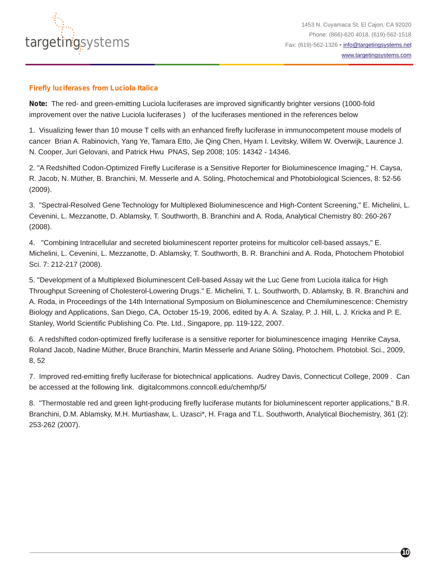

#### **Firefly luciferases from Luciola Italica**

**Note:** The red- and green-emitting Luciola luciferases are improved significantly brighter versions (1000-fold improvement over the native Luciola luciferases) of the luciferases mentioned in the references below

1. Visualizing fewer than 10 mouse T cells with an enhanced firefly luciferase in immunocompetent mouse models of cancer Brian A. Rabinovich, Yang Ye, Tamara Etto, Jie Qing Chen, Hyam I. Levitsky, Willem W. Overwijk, Laurence J. N. Cooper, Juri Gelovani, and Patrick Hwu PNAS, Sep 2008; 105: 14342 - 14346.

2. "A Redshifted Codon-Optimized Firefly Luciferase is a Sensitive Reporter for Bioluminescence Imaging," H. Caysa, R. Jacob, N. Müther, B. Branchini, M. Messerle and A. Söling, Photochemical and Photobiological Sciences, 8: 52-56 (2009).

3. "Spectral-Resolved Gene Technology for Multiplexed Bioluminescence and High-Content Screening," E. Michelini, L. Cevenini, L. Mezzanotte, D. Ablamsky, T. Southworth, B. Branchini and A. Roda, Analytical Chemistry 80: 260-267 (2008).

4. "Combining Intracellular and secreted bioluminescent reporter proteins for multicolor cell-based assays," E. Michelini, L. Cevenini, L. Mezzanotte, D. Ablamsky, T. Southworth, B. R. Branchini and A. Roda, Photochem Photobiol Sci. 7: 212-217 (2008).

5. "Development of a Multiplexed Bioluminescent Cell-based Assay wit the Luc Gene from Luciola italica for High Throughput Screening of Cholesterol-Lowering Drugs." E. Michelini, T. L. Southworth, D. Ablamsky, B. R. Branchini and A. Roda, in Proceedings of the 14th International Symposium on Bioluminescence and Chemiluminescence: Chemistry Biology and Applications, San Diego, CA, October 15-19, 2006, edited by A. A. Szalay, P. J. Hill, L. J. Kricka and P. E. Stanley, World Scientific Publishing Co. Pte. Ltd., Singapore, pp. 119-122, 2007.

6. A redshifted codon-optimized firefly luciferase is a sensitive reporter for bioluminescence imaging Henrike Caysa, Roland Jacob, Nadine Müther, Bruce Branchini, Martin Messerle and Ariane Söling, Photochem. Photobiol. Sci., 2009, 8, 52

7. Improved red-emitting firefly luciferase for biotechnical applications. Audrey Davis, Connecticut College, 2009 . Can be accessed at the following link. digitalcommons.conncoll.edu/chemhp/5/

8. "Thermostable red and green light-producing firefly luciferase mutants for bioluminescent reporter applications," B.R. Branchini, D.M. Ablamsky, M.H. Murtiashaw, L. Uzasci\*, H. Fraga and T.L. Southworth, Analytical Biochemistry, 361 (2): 253-262 (2007).